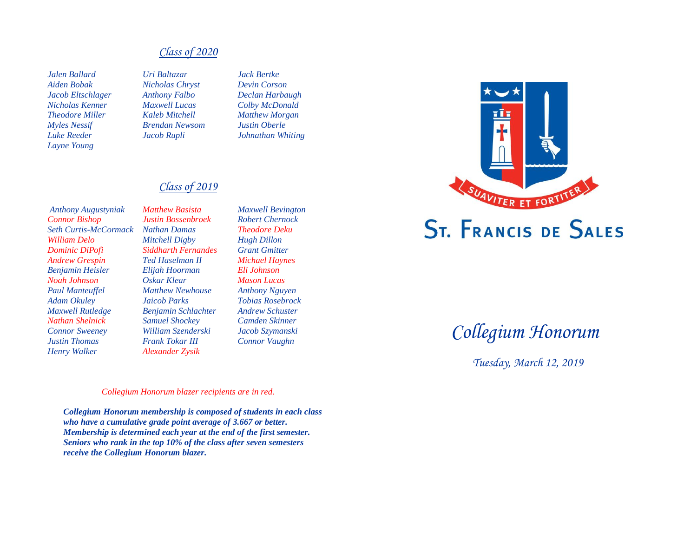### *Class of 2020*

*Jalen Ballard Uri Baltazar Jack Bertke Aiden Bobak Nicholas Chryst Devin Corson Jacob Eltschlager Anthony Falbo Declan Harbaugh Nicholas Kenner Maxwell Lucas Colby McDonald Theodore Miller Kaleb Mitchell Matthew Morgan Myles Nessif Brendan Newsom Justin Oberle Luke Reeder Jacob Rupli Johnathan Whiting Layne Young*

### *Class of 2019*

*Anthony Augustyniak Matthew Basista Maxwell Bevington Connor Bishop Justin Bossenbroek Robert Chernock Seth Curtis-McCormack Nathan Damas Theodore Deku William Delo Mitchell Digby Hugh Dillon Dominic DiPofi Siddharth Fernandes Grant Gmitter Andrew Grespin Ted Haselman II Michael Haynes Benjamin Heisler Elijah Hoorman Eli Johnson Noah Johnson Oskar Klear Mason Lucas Paul Manteuffel Matthew Newhouse Anthony Nguyen Adam Okuley Jaicob Parks Tobias Rosebrock Maxwell Rutledge Benjamin Schlachter Andrew Schuster Nathan Shelnick Samuel Shockey Camden Skinner Connor Sweeney William Szenderski Jacob Szymanski Justin Thomas Frank Tokar III Connor Vaughn Henry Walker Alexander Zysik*



# *Collegium Honorum*

 *Tuesday, March 12, 2019*

### *Collegium Honorum blazer recipients are in red.*

*Collegium Honorum membership is composed of students in each class who have a cumulative grade point average of 3.667 or better. Membership is determined each year at the end of the first semester. Seniors who rank in the top 10% of the class after seven semesters receive the Collegium Honorum blazer.*